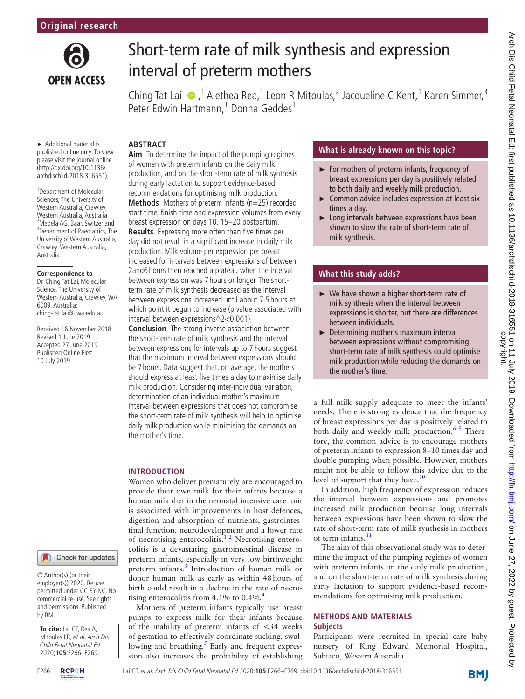

# Short-term rate of milk synthesis and expression interval of preterm mothers

ChingTat Lai  $\bullet$ ,<sup>1</sup> Alethea Rea,<sup>1</sup> Leon R Mitoulas,<sup>2</sup> Jacqueline C Kent,<sup>1</sup> Karen Simmer,<sup>3</sup>

#### ► Additional material is published online only. To view please visit the journal online (http://dx.doi.org/10.1136/

<sup>1</sup> Department of Molecular Sciences, The University of Western Australia, Crawley, Western Australia, Australia 2 Medela AG, Baar, Switzerland <sup>3</sup>Department of Paediatrics, The University of Western Australia, Crawley, Western Australia, Australia

archdischild-2018-316551).

#### **Correspondence to**

Dr. Ching Tat Lai, Molecular Science, The University of Western Australia, Crawley, WA 6009, Australia; ching-tat.lai@uwa.edu.au

Received 16 November 2018 Revised 1 June 2019 Accepted 27 June 2019 Published Online First 10 July 2019

#### Check for updates

© Author(s) (or their employer(s)) 2020. Re-use permitted under CC BY-NC. No commercial re-use. See rights and permissions. Published by BMJ.

**To cite:** Lai CT, Rea A, Mitoulas LR, et al. Arch Dis Child Fetal Neonatal Ed 2020;**105**:F266–F269.



Peter Edwin Hartmann,<sup>1</sup> Donna Geddes<sup>1</sup> **Abstract Aim** To determine the impact of the pumping regimes of women with preterm infants on the daily milk production, and on the short-term rate of milk synthesis during early lactation to support evidence-based

recommendations for optimising milk production. **Methods** Mothers of preterm infants (n=25) recorded start time, finish time and expression volumes from every breast expression on days 10, 15–20 postpartum. **Results** Expressing more often than five times per day did not result in a significant increase in daily milk production. Milk volume per expression per breast increased for intervals between expressions of between 2and6 hours then reached a plateau when the interval between expression was 7 hours or longer. The shortterm rate of milk synthesis decreased as the interval between expressions increased until about 7.5 hours at which point it begun to increase (p value associated with interval between expressions^2<0.001).

**Conclusion** The strong inverse association between the short-term rate of milk synthesis and the interval between expressions for intervals up to 7 hours suggest that the maximum interval between expressions should be 7 hours. Data suggest that, on average, the mothers should express at least five times a day to maximise daily milk production. Considering inter-individual variation, determination of an individual mother's maximum interval between expressions that does not compromise the short-term rate of milk synthesis will help to optimise daily milk production while minimising the demands on the mother's time.

# **Introduction**

Women who deliver prematurely are encouraged to provide their own milk for their infants because a human milk diet in the neonatal intensive care unit is associated with improvements in host defences, digestion and absorption of nutrients, gastrointestinal function, neurodevelopment and a lower rate of necrotising enterocolitis. $1^2$  Necrotising enterocolitis is a devastating gastrointestinal disease in preterm infants, especially in very low birthweight preterm infants.<sup>3</sup> Introduction of human milk or donor human milk as early as within 48hours of birth could result in a decline in the rate of necrotising enterocolitis from  $4.1\%$  to 0[.4](#page-3-2)%.<sup>4</sup>

Mothers of preterm infants typically use breast pumps to express milk for their infants because of the inability of preterm infants of <34 weeks of gestation to effectively coordinate sucking, swal-lowing and breathing.<sup>[5](#page-3-3)</sup> Early and frequent expression also increases the probability of establishing

# **What is already known on this topic?**

- ► For mothers of preterm infants, frequency of breast expressions per day is positively related to both daily and weekly milk production.
- ► Common advice includes expression at least six times a day.
- ► Long intervals between expressions have been shown to slow the rate of short-term rate of milk synthesis.

# **What this study adds?**

- ► We have shown a higher short-term rate of milk synthesis when the interval between expressions is shorter, but there are differences between individuals.
- ► Determining mother's maximum interval between expressions without compromising short-term rate of milk synthesis could optimise milk production while reducing the demands on the mother's time.

a full milk supply adequate to meet the infants' needs. There is strong evidence that the frequency of breast expressions per day is positively related to both daily and weekly milk production. $6-9$  Therefore, the common advice is to encourage mothers of preterm infants to expression 8–10 times day and double pumping when possible. However, mothers might not be able to follow this advice due to the level of support that they have.<sup>[10](#page-3-5)</sup>

In addition, high frequency of expression reduces the interval between expressions and promotes increased milk production because long intervals between expressions have been shown to slow the rate of short-term rate of milk synthesis in mothers of term infants. $^{11}$  $^{11}$  $^{11}$ 

The aim of this observational study was to determine the impact of the pumping regimes of women with preterm infants on the daily milk production, and on the short-term rate of milk synthesis during early lactation to support evidence-based recommendations for optimising milk production.

## **METHODS AND MATERIALS Subjects**

Participants were recruited in special care baby nursery of King Edward Memorial Hospital, Subiaco, Western Australia.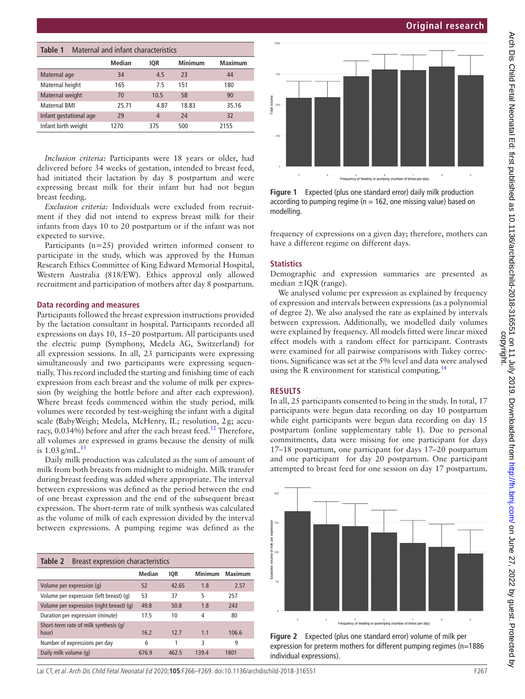# **Original research**

<span id="page-1-1"></span>

| Table 1<br>Maternal and infant characteristics |               |            |         |         |  |  |  |  |
|------------------------------------------------|---------------|------------|---------|---------|--|--|--|--|
|                                                | <b>Median</b> | <b>IQR</b> | Minimum | Maximum |  |  |  |  |
| Maternal age                                   | 34            | 4.5        | 23      | 44      |  |  |  |  |
| Maternal height                                | 165           | 7.5        | 151     | 180     |  |  |  |  |
| Maternal weight                                | 70            | 10.5       | 58      | 90      |  |  |  |  |
| Maternal RMI                                   | 25.71         | 4.87       | 18.83   | 35.16   |  |  |  |  |
| Infant gestational age                         | 29            | 4          | 24      | 32      |  |  |  |  |
| Infant birth weight                            | 1270          | 375        | 500     | 2155    |  |  |  |  |

*Inclusion criteria:* Participants were 18 years or older, had delivered before 34 weeks of gestation, intended to breast feed, had initiated their lactation by day 8 postpartum and were expressing breast milk for their infant but had not begun breast feeding.

*Exclusion criteria:* Individuals were excluded from recruitment if they did not intend to express breast milk for their infants from days 10 to 20 postpartum or if the infant was not expected to survive.

Participants (n=25) provided written informed consent to participate in the study, which was approved by the Human Research Ethics Committee of King Edward Memorial Hospital, Western Australia (818/EW). Ethics approval only allowed recruitment and participation of mothers after day 8 postpartum.

#### **Data recording and measures**

Participants followed the breast expression instructions provided by the lactation consultant in hospital. Participants recorded all expressions on days 10, 15–20 postpartum. All participants used the electric pump (Symphony, Medela AG, Switzerland) for all expression sessions. In all, 23 participants were expressing simultaneously and two participants were expressing sequentially. This record included the starting and finishing time of each expression from each breast and the volume of milk per expression (by weighing the bottle before and after each expression). Where breast feeds commenced within the study period, milk volumes were recorded by test-weighing the infant with a digital scale (BabyWeigh; Medela, McHenry, IL; resolution, 2g; accuracy,  $0.034\%$ ) before and after the each breast feed.<sup>[12](#page-3-7)</sup> Therefore, all volumes are expressed in grams because the density of milk is  $1.03$  g/mL $^{13}$  $^{13}$  $^{13}$ 

Daily milk production was calculated as the sum of amount of milk from both breasts from midnight to midnight. Milk transfer during breast feeding was added where appropriate. The interval between expressions was defined as the period between the end of one breast expression and the end of the subsequent breast expression. The short-term rate of milk synthesis was calculated as the volume of milk of each expression divided by the interval between expressions. A pumping regime was defined as the

| Breast expression characteristics<br>Table 2 |               |            |                |                |  |  |  |  |
|----------------------------------------------|---------------|------------|----------------|----------------|--|--|--|--|
|                                              | <b>Median</b> | <b>IOR</b> | <b>Minimum</b> | <b>Maximum</b> |  |  |  |  |
| Volume per expression (q)                    | 52            | 42.65      | 1.8            | 2.57           |  |  |  |  |
| Volume per expression (left breast) (q)      | 53            | 37         | 5              | 257            |  |  |  |  |
| Volume per expression (right breast) (g)     | 49.8          | 50.8       | 1.8            | 243            |  |  |  |  |
| Duration per expression (minute)             | 17.5          | 10         | 4              | 80             |  |  |  |  |
| Short-term rate of milk synthesis (g/        |               |            |                |                |  |  |  |  |
| hour)                                        | 16.2          | 12.7       | 1.1            | 106.6          |  |  |  |  |
| Number of expressions per day                | 6             |            | 3              | 9              |  |  |  |  |
| Daily milk volume (g)                        | 676.9         | 462.5      | 139.4          | 1801           |  |  |  |  |



<span id="page-1-2"></span>**Figure 1** Expected (plus one standard error) daily milk production according to pumping regime ( $n = 162$ , one missing value) based on modelling.

frequency of expressions on a given day; therefore, mothers can have a different regime on different days.

### **Statistics**

Demographic and expression summaries are presented as median ±IQR (range).

We analysed volume per expression as explained by frequency of expression and intervals between expressions (as a polynomial of degree 2). We also analysed the rate as explained by intervals between expression. Additionally, we modelled daily volumes were explained by frequency. All models fitted were linear mixed effect models with a random effect for participant. Contrasts were examined for all pairwise comparisons with Tukey corrections. Significance was set at the 5% level and data were analysed using the R environment for statistical computing.<sup>14</sup>

#### **Results**

In all, 25 participants consented to being in the study. In total, 17 participants were begun data recording on day 10 postpartum while eight participants were begun data recording on day 15 postpartum (online [supplementary table 1](https://dx.doi.org/10.1136/archdischild-2018-316551)). Due to personal commitments, data were missing for one participant for days 17–18 postpartum, one participant for days 17–20 postpartum and one participant for day 20 postpartum. One participant attempted to breast feed for one session on day 17 postpartum.



<span id="page-1-0"></span>**Figure 2** Expected (plus one standard error) volume of milk per expression for preterm mothers for different pumping regimes (n=1886 individual expressions).

Lai CT, et al. Arch Dis Child Fetal Neonatal Ed 2020;**105**:F266–F269. doi:10.1136/archdischild-2018-316551 F267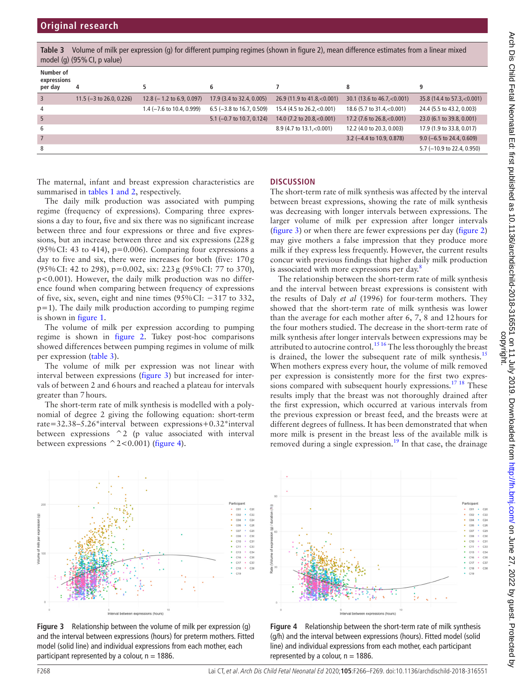<span id="page-2-0"></span>**Table 3** Volume of milk per expression (g) for different pumping regimes (shown in [figure 2](#page-1-0)), mean difference estimates from a linear mixed model (g) (95% CI, p value)

| Number of              |                             |                              |                              |                                 |                                      |                              |
|------------------------|-----------------------------|------------------------------|------------------------------|---------------------------------|--------------------------------------|------------------------------|
| expressions<br>per day | 4                           |                              | 6                            |                                 | 8                                    | 9                            |
| 3                      | 11.5 ( $-3$ to 26.0, 0.226) | 12.8 ( $-1.2$ to 6.9, 0.097) | 17.9 (3.4 to 32.4, 0.005)    | 26.9 (11.9 to 41.8, $< 0.001$ ) | 30.1 (13.6 to 46.7, < 0.001)         | 35.8 (14.4 to 57.3, < 0.001) |
| 4                      |                             | 1.4 (-7.6 to 10.4, 0.999)    | $6.5$ (-3.8 to 16.7, 0.509)  | 15.4 (4.5 to $26.2, < 0.001$ )  | 18.6 (5.7 to 31.4, < 0.001)          | 24.4 (5.5 to 43.2, 0.003)    |
| -5                     |                             |                              | 5.1 ( $-0.7$ to 10.7, 0.124) | 14.0 (7.2 to $20.8, < 0.001$ )  | 17.2 (7.6 to $26.8, < 0.001$ )       | 23.0 (6.1 to 39.8, 0.001)    |
| 6                      |                             |                              |                              | 8.9 (4.7 to $13.1, < 0.001$ )   | 12.2 (4.0 to 20.3, 0.003)            | 17.9 (1.9 to 33.8, 0.017)    |
|                        |                             |                              |                              |                                 | 3.2 $(-4.4 \text{ to } 10.9, 0.878)$ | $9.0$ (-6.5 to 24.4, 0.609)  |
| 8                      |                             |                              |                              |                                 |                                      | 5.7 (-10.9 to 22.4, 0.950)   |

The maternal, infant and breast expression characteristics are summarised in tables [1 and 2,](#page-1-1) respectively.

The daily milk production was associated with pumping regime (frequency of expressions). Comparing three expressions a day to four, five and six there was no significant increase between three and four expressions or three and five expressions, but an increase between three and six expressions (228g (95% CI: 43 to 414),  $p=0.006$ ). Comparing four expressions a day to five and six, there were increases for both (five: 170g (95%CI: 42 to 298), p=0.002, six: 223g (95%CI: 77 to 370), p<0.001). However, the daily milk production was no difference found when comparing between frequency of expressions of five, six, seven, eight and nine times (95%CI: −317 to 332, p=1). The daily milk production according to pumping regime is shown in [figure](#page-1-2) 1.

The volume of milk per expression according to pumping regime is shown in [figure](#page-1-0) 2. Tukey post-hoc comparisons showed differences between pumping regimes in volume of milk per expression ([table](#page-2-0) 3).

The volume of milk per expression was not linear with interval between expressions ([figure](#page-2-1) 3) but increased for intervals of between 2 and 6hours and reached a plateau for intervals greater than 7hours.

The short-term rate of milk synthesis is modelled with a polynomial of degree 2 giving the following equation: short-term rate=32.38–5.26\*interval between expressions+0.32\*interval between expressions ^2 (p value associated with interval between expressions  $^{\wedge}2<0.001$ ) ([figure](#page-2-2) 4).

# **Discussion**

The short-term rate of milk synthesis was affected by the interval between breast expressions, showing the rate of milk synthesis was decreasing with longer intervals between expressions. The larger volume of milk per expression after longer intervals ([figure](#page-2-1) 3) or when there are fewer expressions per day [\(figure](#page-1-0) 2) may give mothers a false impression that they produce more milk if they express less frequently. However, the current results concur with previous findings that higher daily milk production is associated with more expressions per day.<sup>[8](#page-3-10)</sup>

The relationship between the short-term rate of milk synthesis and the interval between breast expressions is consistent with the results of Daly *et al* (1996) for four-term mothers. They showed that the short-term rate of milk synthesis was lower than the average for each mother after 6, 7, 8 and 12hours for the four mothers studied. The decrease in the short-term rate of milk synthesis after longer intervals between expressions may be attributed to autocrine control.<sup>1516</sup> The less thoroughly the breast is drained, the lower the subsequent rate of milk synthesis.<sup>[15](#page-3-11)</sup> When mothers express every hour, the volume of milk removed per expression is consistently more for the first two expres-sions compared with subsequent hourly expressions.<sup>[17 18](#page-3-12)</sup> These results imply that the breast was not thoroughly drained after the first expression, which occurred at various intervals from the previous expression or breast feed, and the breasts were at different degrees of fullness. It has been demonstrated that when more milk is present in the breast less of the available milk is removed during a single expression.<sup>19</sup> In that case, the drainage



<span id="page-2-1"></span>**Figure 3** Relationship between the volume of milk per expression (g) and the interval between expressions (hours) for preterm mothers. Fitted model (solid line) and individual expressions from each mother, each participant represented by a colour,  $n = 1886$ .



<span id="page-2-2"></span>**Figure 4** Relationship between the short-term rate of milk synthesis (g/h) and the interval between expressions (hours). Fitted model (solid line) and individual expressions from each mother, each participant represented by a colour,  $n = 1886$ .